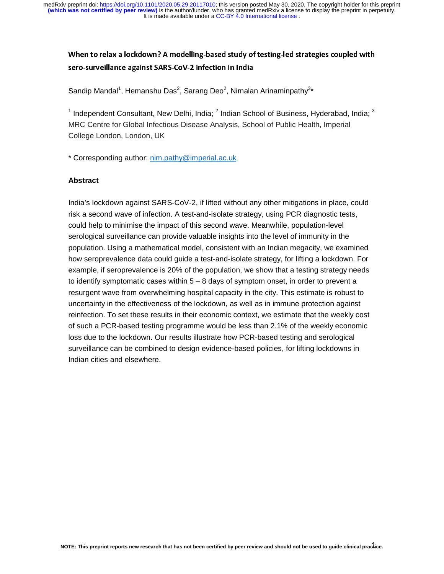When to relax a lockdown? A modelling-based study of testing-led strategies coupled with sero-surveillance against SARS-CoV-2 infection in India

Sandip Mandal<sup>1</sup>, Hemanshu Das<sup>2</sup>, Sarang Deo<sup>2</sup>, Nimalan Arinaminpathy<sup>3\*</sup>

<sup>1</sup> Independent Consultant, New Delhi, India;  $^2$  Indian School of Business, Hyderabad, India;  $^3$ MRC Centre for Global Infectious Disease Analysis, School of Public Health, Imperial College London, London, UK

\* Corresponding author: nim.pathy@imperial.ac.uk

#### **Abstract**

India's lockdown against SARS-CoV-2, if lifted without any other mitigations in place, could risk a second wave of infection. A test-and-isolate strategy, using PCR diagnostic tests, could help to minimise the impact of this second wave. Meanwhile, population-level serological surveillance can provide valuable insights into the level of immunity in the population. Using a mathematical model, consistent with an Indian megacity, we examined how seroprevalence data could guide a test-and-isolate strategy, for lifting a lockdown. For example, if seroprevalence is 20% of the population, we show that a testing strategy needs to identify symptomatic cases within  $5 - 8$  days of symptom onset, in order to prevent a resurgent wave from overwhelming hospital capacity in the city. This estimate is robust to uncertainty in the effectiveness of the lockdown, as well as in immune protection against reinfection. To set these results in their economic context, we estimate that the weekly cost of such a PCR-based testing programme would be less than 2.1% of the weekly economic loss due to the lockdown. Our results illustrate how PCR-based testing and serological surveillance can be combined to design evidence-based policies, for lifting lockdowns in Indian cities and elsewhere.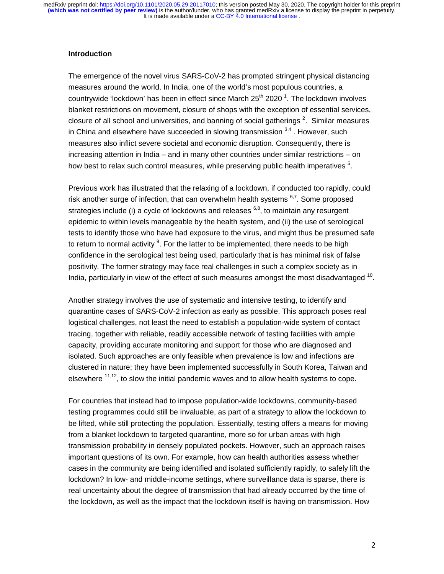#### **Introduction**

The emergence of the novel virus SARS-CoV-2 has prompted stringent physical distancing measures around the world. In India, one of the world's most populous countries, a countrywide 'lockdown' has been in effect since March 25<sup>th</sup> 2020<sup>1</sup>. The lockdown involves blanket restrictions on movement, closure of shops with the exception of essential services, closure of all school and universities, and banning of social gatherings  $2$ . Similar measures in China and elsewhere have succeeded in slowing transmission  $3,4$ . However, such measures also inflict severe societal and economic disruption. Consequently, there is increasing attention in India – and in many other countries under similar restrictions – on how best to relax such control measures, while preserving public health imperatives  $5$ .

Previous work has illustrated that the relaxing of a lockdown, if conducted too rapidly, could risk another surge of infection, that can overwhelm health systems  $6.7$ . Some proposed strategies include (i) a cycle of lockdowns and releases  $6,8$ , to maintain any resurgent epidemic to within levels manageable by the health system, and (ii) the use of serological tests to identify those who have had exposure to the virus, and might thus be presumed safe to return to normal activity  $9$ . For the latter to be implemented, there needs to be high confidence in the serological test being used, particularly that is has minimal risk of false positivity. The former strategy may face real challenges in such a complex society as in India, particularly in view of the effect of such measures amongst the most disadvantaged <sup>10</sup>.

Another strategy involves the use of systematic and intensive testing, to identify and quarantine cases of SARS-CoV-2 infection as early as possible. This approach poses real logistical challenges, not least the need to establish a population-wide system of contact tracing, together with reliable, readily accessible network of testing facilities with ample capacity, providing accurate monitoring and support for those who are diagnosed and isolated. Such approaches are only feasible when prevalence is low and infections are clustered in nature; they have been implemented successfully in South Korea, Taiwan and elsewhere  $11,12$ , to slow the initial pandemic waves and to allow health systems to cope.

For countries that instead had to impose population-wide lockdowns, community-based testing programmes could still be invaluable, as part of a strategy to allow the lockdown to be lifted, while still protecting the population. Essentially, testing offers a means for moving from a blanket lockdown to targeted quarantine, more so for urban areas with high transmission probability in densely populated pockets. However, such an approach raises important questions of its own. For example, how can health authorities assess whether cases in the community are being identified and isolated sufficiently rapidly, to safely lift the lockdown? In low- and middle-income settings, where surveillance data is sparse, there is real uncertainty about the degree of transmission that had already occurred by the time of the lockdown, as well as the impact that the lockdown itself is having on transmission. How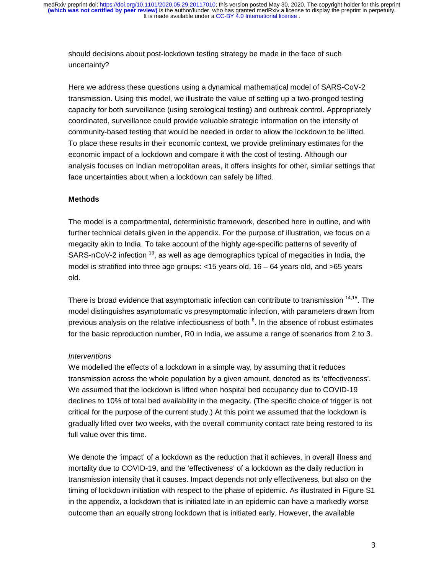should decisions about post-lockdown testing strategy be made in the face of such uncertainty?

Here we address these questions using a dynamical mathematical model of SARS-CoV-2 transmission. Using this model, we illustrate the value of setting up a two-pronged testing capacity for both surveillance (using serological testing) and outbreak control. Appropriately coordinated, surveillance could provide valuable strategic information on the intensity of community-based testing that would be needed in order to allow the lockdown to be lifted. To place these results in their economic context, we provide preliminary estimates for the economic impact of a lockdown and compare it with the cost of testing. Although our analysis focuses on Indian metropolitan areas, it offers insights for other, similar settings that face uncertainties about when a lockdown can safely be lifted.

## **Methods**

The model is a compartmental, deterministic framework, described here in outline, and with further technical details given in the appendix. For the purpose of illustration, we focus on a megacity akin to India. To take account of the highly age-specific patterns of severity of SARS-nCoV-2 infection  $^{13}$ , as well as age demographics typical of megacities in India, the model is stratified into three age groups: <15 years old, 16 – 64 years old, and >65 years old.

There is broad evidence that asymptomatic infection can contribute to transmission <sup>14,15</sup>. The model distinguishes asymptomatic vs presymptomatic infection, with parameters drawn from previous analysis on the relative infectiousness of both <sup>6</sup>. In the absence of robust estimates for the basic reproduction number, R0 in India, we assume a range of scenarios from 2 to 3.

#### *Interventions*

We modelled the effects of a lockdown in a simple way, by assuming that it reduces transmission across the whole population by a given amount, denoted as its 'effectiveness'. We assumed that the lockdown is lifted when hospital bed occupancy due to COVID-19 declines to 10% of total bed availability in the megacity. (The specific choice of trigger is not critical for the purpose of the current study.) At this point we assumed that the lockdown is gradually lifted over two weeks, with the overall community contact rate being restored to its full value over this time.

We denote the 'impact' of a lockdown as the reduction that it achieves, in overall illness and mortality due to COVID-19, and the 'effectiveness' of a lockdown as the daily reduction in transmission intensity that it causes. Impact depends not only effectiveness, but also on the timing of lockdown initiation with respect to the phase of epidemic. As illustrated in Figure S1 in the appendix, a lockdown that is initiated late in an epidemic can have a markedly worse outcome than an equally strong lockdown that is initiated early. However, the available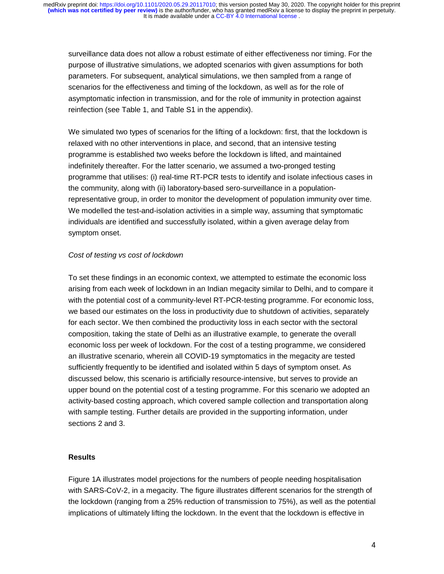surveillance data does not allow a robust estimate of either effectiveness nor timing. For the purpose of illustrative simulations, we adopted scenarios with given assumptions for both parameters. For subsequent, analytical simulations, we then sampled from a range of scenarios for the effectiveness and timing of the lockdown, as well as for the role of asymptomatic infection in transmission, and for the role of immunity in protection against reinfection (see Table 1, and Table S1 in the appendix).

We simulated two types of scenarios for the lifting of a lockdown: first, that the lockdown is relaxed with no other interventions in place, and second, that an intensive testing programme is established two weeks before the lockdown is lifted, and maintained indefinitely thereafter. For the latter scenario, we assumed a two-pronged testing programme that utilises: (i) real-time RT-PCR tests to identify and isolate infectious cases in the community, along with (ii) laboratory-based sero-surveillance in a populationrepresentative group, in order to monitor the development of population immunity over time. We modelled the test-and-isolation activities in a simple way, assuming that symptomatic individuals are identified and successfully isolated, within a given average delay from symptom onset.

## *Cost of testing vs cost of lockdown*

To set these findings in an economic context, we attempted to estimate the economic loss arising from each week of lockdown in an Indian megacity similar to Delhi, and to compare it with the potential cost of a community-level RT-PCR-testing programme. For economic loss, we based our estimates on the loss in productivity due to shutdown of activities, separately for each sector. We then combined the productivity loss in each sector with the sectoral composition, taking the state of Delhi as an illustrative example, to generate the overall economic loss per week of lockdown. For the cost of a testing programme, we considered an illustrative scenario, wherein all COVID-19 symptomatics in the megacity are tested sufficiently frequently to be identified and isolated within 5 days of symptom onset. As discussed below, this scenario is artificially resource-intensive, but serves to provide an upper bound on the potential cost of a testing programme. For this scenario we adopted an activity-based costing approach, which covered sample collection and transportation along with sample testing. Further details are provided in the supporting information, under sections 2 and 3.

#### **Results**

Figure 1A illustrates model projections for the numbers of people needing hospitalisation with SARS-CoV-2, in a megacity. The figure illustrates different scenarios for the strength of the lockdown (ranging from a 25% reduction of transmission to 75%), as well as the potential implications of ultimately lifting the lockdown. In the event that the lockdown is effective in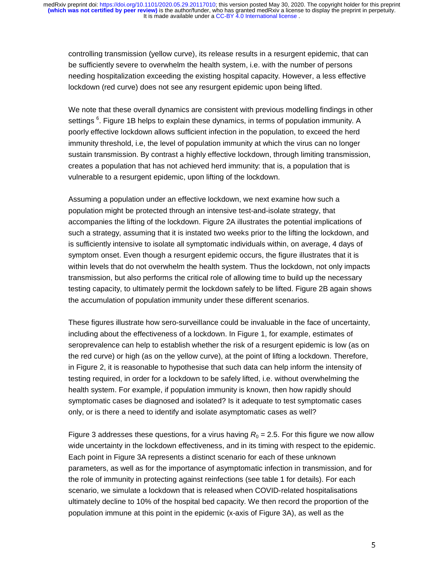controlling transmission (yellow curve), its release results in a resurgent epidemic, that can be sufficiently severe to overwhelm the health system, i.e. with the number of persons needing hospitalization exceeding the existing hospital capacity. However, a less effective lockdown (red curve) does not see any resurgent epidemic upon being lifted.

We note that these overall dynamics are consistent with previous modelling findings in other settings <sup>6</sup>. Figure 1B helps to explain these dynamics, in terms of population immunity. A poorly effective lockdown allows sufficient infection in the population, to exceed the herd immunity threshold, i.e, the level of population immunity at which the virus can no longer sustain transmission. By contrast a highly effective lockdown, through limiting transmission, creates a population that has not achieved herd immunity: that is, a population that is vulnerable to a resurgent epidemic, upon lifting of the lockdown.

Assuming a population under an effective lockdown, we next examine how such a population might be protected through an intensive test-and-isolate strategy, that accompanies the lifting of the lockdown. Figure 2A illustrates the potential implications of such a strategy, assuming that it is instated two weeks prior to the lifting the lockdown, and is sufficiently intensive to isolate all symptomatic individuals within, on average, 4 days of symptom onset. Even though a resurgent epidemic occurs, the figure illustrates that it is within levels that do not overwhelm the health system. Thus the lockdown, not only impacts transmission, but also performs the critical role of allowing time to build up the necessary testing capacity, to ultimately permit the lockdown safely to be lifted. Figure 2B again shows the accumulation of population immunity under these different scenarios.

These figures illustrate how sero-surveillance could be invaluable in the face of uncertainty, including about the effectiveness of a lockdown. In Figure 1, for example, estimates of seroprevalence can help to establish whether the risk of a resurgent epidemic is low (as on the red curve) or high (as on the yellow curve), at the point of lifting a lockdown. Therefore, in Figure 2, it is reasonable to hypothesise that such data can help inform the intensity of testing required, in order for a lockdown to be safely lifted, i.e. without overwhelming the health system. For example, if population immunity is known, then how rapidly should symptomatic cases be diagnosed and isolated? Is it adequate to test symptomatic cases only, or is there a need to identify and isolate asymptomatic cases as well?

Figure 3 addresses these questions, for a virus having  $R_0 = 2.5$ . For this figure we now allow wide uncertainty in the lockdown effectiveness, and in its timing with respect to the epidemic. Each point in Figure 3A represents a distinct scenario for each of these unknown parameters, as well as for the importance of asymptomatic infection in transmission, and for the role of immunity in protecting against reinfections (see table 1 for details). For each scenario, we simulate a lockdown that is released when COVID-related hospitalisations ultimately decline to 10% of the hospital bed capacity. We then record the proportion of the population immune at this point in the epidemic (x-axis of Figure 3A), as well as the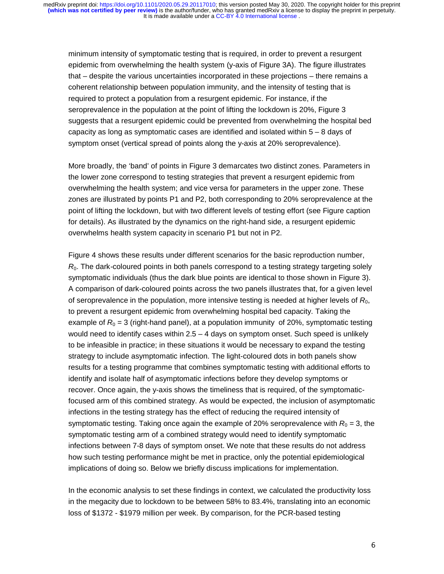minimum intensity of symptomatic testing that is required, in order to prevent a resurgent epidemic from overwhelming the health system (y-axis of Figure 3A). The figure illustrates that – despite the various uncertainties incorporated in these projections – there remains a coherent relationship between population immunity, and the intensity of testing that is required to protect a population from a resurgent epidemic. For instance, if the seroprevalence in the population at the point of lifting the lockdown is 20%, Figure 3 suggests that a resurgent epidemic could be prevented from overwhelming the hospital bed capacity as long as symptomatic cases are identified and isolated within  $5 - 8$  days of symptom onset (vertical spread of points along the y-axis at 20% seroprevalence).

More broadly, the 'band' of points in Figure 3 demarcates two distinct zones. Parameters in the lower zone correspond to testing strategies that prevent a resurgent epidemic from overwhelming the health system; and vice versa for parameters in the upper zone. These zones are illustrated by points P1 and P2, both corresponding to 20% seroprevalence at the point of lifting the lockdown, but with two different levels of testing effort (see Figure caption for details). As illustrated by the dynamics on the right-hand side, a resurgent epidemic overwhelms health system capacity in scenario P1 but not in P2.

Figure 4 shows these results under different scenarios for the basic reproduction number,  $R<sub>0</sub>$ . The dark-coloured points in both panels correspond to a testing strategy targeting solely symptomatic individuals (thus the dark blue points are identical to those shown in Figure 3). A comparison of dark-coloured points across the two panels illustrates that, for a given level of seroprevalence in the population, more intensive testing is needed at higher levels of *R*0, to prevent a resurgent epidemic from overwhelming hospital bed capacity. Taking the example of  $R_0 = 3$  (right-hand panel), at a population immunity of 20%, symptomatic testing would need to identify cases within  $2.5 - 4$  days on symptom onset. Such speed is unlikely to be infeasible in practice; in these situations it would be necessary to expand the testing strategy to include asymptomatic infection. The light-coloured dots in both panels show results for a testing programme that combines symptomatic testing with additional efforts to identify and isolate half of asymptomatic infections before they develop symptoms or recover. Once again, the y-axis shows the timeliness that is required, of the symptomaticfocused arm of this combined strategy. As would be expected, the inclusion of asymptomatic infections in the testing strategy has the effect of reducing the required intensity of symptomatic testing. Taking once again the example of 20% seroprevalence with  $R_0 = 3$ , the symptomatic testing arm of a combined strategy would need to identify symptomatic infections between 7-8 days of symptom onset. We note that these results do not address how such testing performance might be met in practice, only the potential epidemiological implications of doing so. Below we briefly discuss implications for implementation.

In the economic analysis to set these findings in context, we calculated the productivity loss in the megacity due to lockdown to be between 58% to 83.4%, translating into an economic loss of \$1372 - \$1979 million per week. By comparison, for the PCR-based testing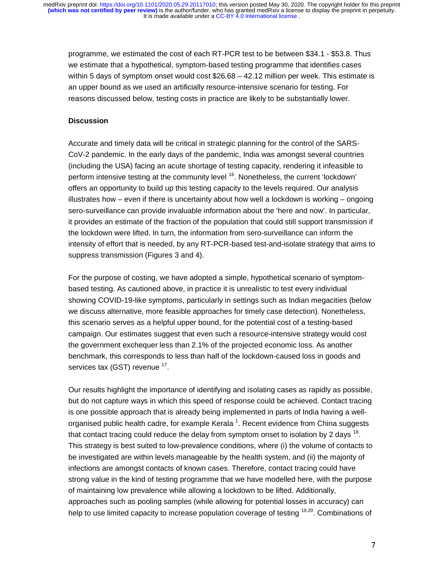programme, we estimated the cost of each RT-PCR test to be between \$34.1 - \$53.8. Thus we estimate that a hypothetical, symptom-based testing programme that identifies cases within 5 days of symptom onset would cost \$26.68 – 42.12 million per week. This estimate is an upper bound as we used an artificially resource-intensive scenario for testing. For reasons discussed below, testing costs in practice are likely to be substantially lower.

#### **Discussion**

Accurate and timely data will be critical in strategic planning for the control of the SARS-CoV-2 pandemic. In the early days of the pandemic, India was amongst several countries (including the USA) facing an acute shortage of testing capacity, rendering it infeasible to perform intensive testing at the community level <sup>16</sup>. Nonetheless, the current 'lockdown' offers an opportunity to build up this testing capacity to the levels required. Our analysis illustrates how – even if there is uncertainty about how well a lockdown is working – ongoing sero-surveillance can provide invaluable information about the 'here and now'. In particular, it provides an estimate of the fraction of the population that could still support transmission if the lockdown were lifted. In turn, the information from sero-surveillance can inform the intensity of effort that is needed, by any RT-PCR-based test-and-isolate strategy that aims to suppress transmission (Figures 3 and 4).

For the purpose of costing, we have adopted a simple, hypothetical scenario of symptombased testing. As cautioned above, in practice it is unrealistic to test every individual showing COVID-19-like symptoms, particularly in settings such as Indian megacities (below we discuss alternative, more feasible approaches for timely case detection). Nonetheless, this scenario serves as a helpful upper bound, for the potential cost of a testing-based campaign. Our estimates suggest that even such a resource-intensive strategy would cost the government exchequer less than 2.1% of the projected economic loss. As another benchmark, this corresponds to less than half of the lockdown-caused loss in goods and services tax (GST) revenue <sup>17</sup>.

Our results highlight the importance of identifying and isolating cases as rapidly as possible, but do not capture ways in which this speed of response could be achieved. Contact tracing is one possible approach that is already being implemented in parts of India having a wellorganised public health cadre, for example Kerala  $^1$ . Recent evidence from China suggests that contact tracing could reduce the delay from symptom onset to isolation by 2 days  $^{18}$ . This strategy is best suited to low-prevalence conditions, where (i) the volume of contacts to be investigated are within levels manageable by the health system, and (ii) the majority of infections are amongst contacts of known cases. Therefore, contact tracing could have strong value in the kind of testing programme that we have modelled here, with the purpose of maintaining low prevalence while allowing a lockdown to be lifted. Additionally, approaches such as pooling samples (while allowing for potential losses in accuracy) can help to use limited capacity to increase population coverage of testing <sup>19,20</sup>. Combinations of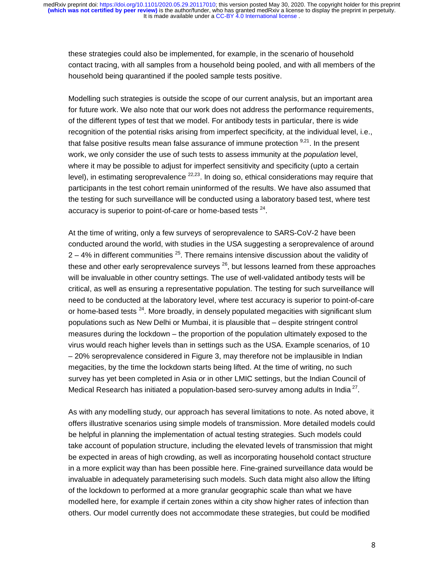these strategies could also be implemented, for example, in the scenario of household contact tracing, with all samples from a household being pooled, and with all members of the household being quarantined if the pooled sample tests positive.

Modelling such strategies is outside the scope of our current analysis, but an important area for future work. We also note that our work does not address the performance requirements, of the different types of test that we model. For antibody tests in particular, there is wide recognition of the potential risks arising from imperfect specificity, at the individual level, i.e., that false positive results mean false assurance of immune protection  $9,21$ . In the present work, we only consider the use of such tests to assess immunity at the *population* level, where it may be possible to adjust for imperfect sensitivity and specificity (upto a certain level), in estimating seroprevalence  $22,23$ . In doing so, ethical considerations may require that participants in the test cohort remain uninformed of the results. We have also assumed that the testing for such surveillance will be conducted using a laboratory based test, where test accuracy is superior to point-of-care or home-based tests <sup>24</sup>.

At the time of writing, only a few surveys of seroprevalence to SARS-CoV-2 have been conducted around the world, with studies in the USA suggesting a seroprevalence of around  $2 - 4%$  in different communities  $2<sup>5</sup>$ . There remains intensive discussion about the validity of these and other early seroprevalence surveys  $^{26}$ , but lessons learned from these approaches will be invaluable in other country settings. The use of well-validated antibody tests will be critical, as well as ensuring a representative population. The testing for such surveillance will need to be conducted at the laboratory level, where test accuracy is superior to point-of-care or home-based tests  $^{24}$ . More broadly, in densely populated megacities with significant slum populations such as New Delhi or Mumbai, it is plausible that – despite stringent control measures during the lockdown – the proportion of the population ultimately exposed to the virus would reach higher levels than in settings such as the USA. Example scenarios, of 10 – 20% seroprevalence considered in Figure 3, may therefore not be implausible in Indian megacities, by the time the lockdown starts being lifted. At the time of writing, no such survey has yet been completed in Asia or in other LMIC settings, but the Indian Council of Medical Research has initiated a population-based sero-survey among adults in India<sup>27</sup>.

As with any modelling study, our approach has several limitations to note. As noted above, it offers illustrative scenarios using simple models of transmission. More detailed models could be helpful in planning the implementation of actual testing strategies. Such models could take account of population structure, including the elevated levels of transmission that might be expected in areas of high crowding, as well as incorporating household contact structure in a more explicit way than has been possible here. Fine-grained surveillance data would be invaluable in adequately parameterising such models. Such data might also allow the lifting of the lockdown to performed at a more granular geographic scale than what we have modelled here, for example if certain zones within a city show higher rates of infection than others. Our model currently does not accommodate these strategies, but could be modified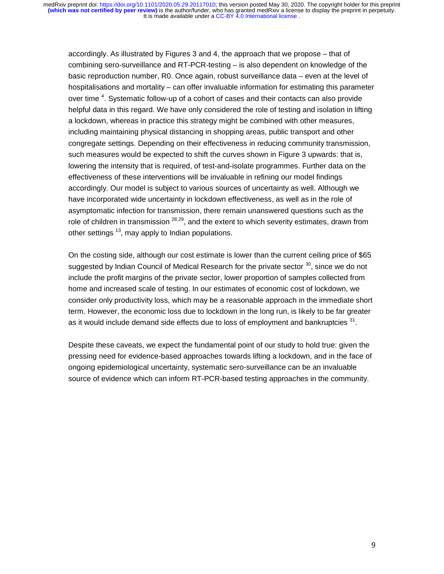accordingly. As illustrated by Figures 3 and 4, the approach that we propose – that of combining sero-surveillance and RT-PCR-testing – is also dependent on knowledge of the basic reproduction number, R0. Once again, robust surveillance data – even at the level of hospitalisations and mortality – can offer invaluable information for estimating this parameter over time <sup>4</sup>. Systematic follow-up of a cohort of cases and their contacts can also provide helpful data in this regard. We have only considered the role of testing and isolation in lifting a lockdown, whereas in practice this strategy might be combined with other measures, including maintaining physical distancing in shopping areas, public transport and other congregate settings. Depending on their effectiveness in reducing community transmission, such measures would be expected to shift the curves shown in Figure 3 upwards: that is, lowering the intensity that is required, of test-and-isolate programmes. Further data on the effectiveness of these interventions will be invaluable in refining our model findings accordingly. Our model is subject to various sources of uncertainty as well. Although we have incorporated wide uncertainty in lockdown effectiveness, as well as in the role of asymptomatic infection for transmission, there remain unanswered questions such as the role of children in transmission <sup>28,29</sup>, and the extent to which severity estimates, drawn from other settings  $^{13}$ , may apply to Indian populations.

On the costing side, although our cost estimate is lower than the current ceiling price of \$65 suggested by Indian Council of Medical Research for the private sector  $30$ , since we do not include the profit margins of the private sector, lower proportion of samples collected from home and increased scale of testing. In our estimates of economic cost of lockdown, we consider only productivity loss, which may be a reasonable approach in the immediate short term. However, the economic loss due to lockdown in the long run, is likely to be far greater as it would include demand side effects due to loss of employment and bankruptcies  $31$ .

Despite these caveats, we expect the fundamental point of our study to hold true: given the pressing need for evidence-based approaches towards lifting a lockdown, and in the face of ongoing epidemiological uncertainty, systematic sero-surveillance can be an invaluable source of evidence which can inform RT-PCR-based testing approaches in the community.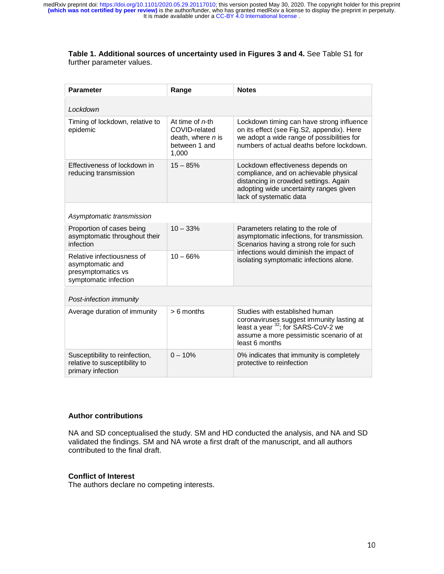## **Table 1. Additional sources of uncertainty used in Figures 3 and 4.** See Table S1 for further parameter values.

| <b>Parameter</b>                                                                              | Range                                                                              | <b>Notes</b>                                                                                                                                                                                                      |
|-----------------------------------------------------------------------------------------------|------------------------------------------------------------------------------------|-------------------------------------------------------------------------------------------------------------------------------------------------------------------------------------------------------------------|
| Lockdown                                                                                      |                                                                                    |                                                                                                                                                                                                                   |
| Timing of lockdown, relative to<br>epidemic                                                   | At time of $n$ -th<br>COVID-related<br>death, where n is<br>between 1 and<br>1,000 | Lockdown timing can have strong influence<br>on its effect (see Fig.S2, appendix). Here<br>we adopt a wide range of possibilities for<br>numbers of actual deaths before lockdown.                                |
| Effectiveness of lockdown in<br>reducing transmission                                         | $15 - 85%$                                                                         | Lockdown effectiveness depends on<br>compliance, and on achievable physical<br>distancing in crowded settings. Again<br>adopting wide uncertainty ranges given<br>lack of systematic data                         |
| Asymptomatic transmission                                                                     |                                                                                    |                                                                                                                                                                                                                   |
| Proportion of cases being<br>asymptomatic throughout their<br>infection                       | $10 - 33%$                                                                         | Parameters relating to the role of<br>asymptomatic infections, for transmission.<br>Scenarios having a strong role for such<br>infections would diminish the impact of<br>isolating symptomatic infections alone. |
| Relative infectiousness of<br>asymptomatic and<br>presymptomatics vs<br>symptomatic infection | $10 - 66%$                                                                         |                                                                                                                                                                                                                   |
| Post-infection immunity                                                                       |                                                                                    |                                                                                                                                                                                                                   |
| Average duration of immunity                                                                  | $> 6$ months                                                                       | Studies with established human<br>coronaviruses suggest immunity lasting at<br>least a year <sup>32</sup> ; for SARS-CoV-2 we<br>assume a more pessimistic scenario of at<br>least 6 months                       |
| Susceptibility to reinfection,<br>relative to susceptibility to<br>primary infection          | $0 - 10%$                                                                          | 0% indicates that immunity is completely<br>protective to reinfection                                                                                                                                             |

# **Author contributions**

NA and SD conceptualised the study. SM and HD conducted the analysis, and NA and SD validated the findings. SM and NA wrote a first draft of the manuscript, and all authors contributed to the final draft.

# **Conflict of Interest**

The authors declare no competing interests.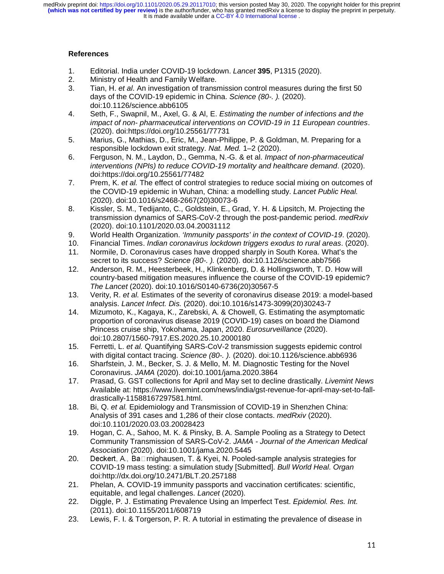It is made available under a CC-BY 4.0 International license. **(which was not certified by peer review)** is the author/funder, who has granted medRxiv a license to display the preprint in perpetuity. medRxiv preprint doi: [https://doi.org/10.1101/2020.05.29.20117010;](https://doi.org/10.1101/2020.05.29.20117010) this version posted May 30, 2020. The copyright holder for this preprint

# **References**

- 1. Editorial. India under COVID-19 lockdown. *Lancet* **395**, P1315 (2020).
- Ministry of Health and Family Welfare.
- 3. Tian, H. *et al.* An investigation of transmission control measures during the first 50 days of the COVID-19 epidemic in China. *Science (80-. ).* (2020). doi:10.1126/science.abb6105
- 4. Seth, F., Swapnil, M., Axel, G. & Al, E. *Estimating the number of infections and the impact of non- pharmaceutical interventions on COVID-19 in 11 European countries*. (2020). doi:https://doi.org/10.25561/77731
- 5. Marius, G., Mathias, D., Eric, M., Jean-Philippe, P. & Goldman, M. Preparing for a responsible lockdown exit strategy. *Nat. Med.* 1–2 (2020).
- 6. Ferguson, N. M., Laydon, D., Gemma, N.-G. & et al. *Impact of non-pharmaceutical interventions (NPIs) to reduce COVID-19 mortality and healthcare demand*. (2020). doi:https://doi.org/10.25561/77482
- 7. Prem, K. *et al.* The effect of control strategies to reduce social mixing on outcomes of the COVID-19 epidemic in Wuhan, China: a modelling study. *Lancet Public Heal.* (2020). doi:10.1016/s2468-2667(20)30073-6
- 8. Kissler, S. M., Tedijanto, C., Goldstein, E., Grad, Y. H. & Lipsitch, M. Projecting the transmission dynamics of SARS-CoV-2 through the post-pandemic period. *medRxiv* (2020). doi:10.1101/2020.03.04.20031112
- 9. World Health Organization. *'Immunity passports' in the context of COVID-19*. (2020).
- 10. Financial Times. *Indian coronavirus lockdown triggers exodus to rural areas*. (2020).
- 11. Normile, D. Coronavirus cases have dropped sharply in South Korea. What's the secret to its success? *Science (80-. ).* (2020). doi:10.1126/science.abb7566
- 12. Anderson, R. M., Heesterbeek, H., Klinkenberg, D. & Hollingsworth, T. D. How will country-based mitigation measures influence the course of the COVID-19 epidemic? *The Lancet* (2020). doi:10.1016/S0140-6736(20)30567-5
- 13. Verity, R. *et al.* Estimates of the severity of coronavirus disease 2019: a model-based analysis. *Lancet Infect. Dis.* (2020). doi:10.1016/s1473-3099(20)30243-7
- 14. Mizumoto, K., Kagaya, K., Zarebski, A. & Chowell, G. Estimating the asymptomatic proportion of coronavirus disease 2019 (COVID-19) cases on board the Diamond Princess cruise ship, Yokohama, Japan, 2020. *Eurosurveillance* (2020). doi:10.2807/1560-7917.ES.2020.25.10.2000180
- 15. Ferretti, L. *et al.* Quantifying SARS-CoV-2 transmission suggests epidemic control with digital contact tracing. *Science (80-. ).* (2020). doi:10.1126/science.abb6936
- 16. Sharfstein, J. M., Becker, S. J. & Mello, M. M. Diagnostic Testing for the Novel Coronavirus. *JAMA* (2020). doi:10.1001/jama.2020.3864
- 17. Prasad, G. GST collections for April and May set to decline drastically. *Livemint News* Available at: https://www.livemint.com/news/india/gst-revenue-for-april-may-set-to-falldrastically-11588167297581.html.
- 18. Bi, Q. *et al.* Epidemiology and Transmission of COVID-19 in Shenzhen China: Analysis of 391 cases and 1,286 of their close contacts. *medRxiv* (2020). doi:10.1101/2020.03.03.20028423
- 19. Hogan, C. A., Sahoo, M. K. & Pinsky, B. A. Sample Pooling as a Strategy to Detect Community Transmission of SARS-CoV-2. *JAMA - Journal of the American Medical Association* (2020). doi:10.1001/jama.2020.5445
- 20. Deckert, A., Ba $\Box$ rnighausen, T. & Kyei, N. Pooled-sample analysis strategies for COVID-19 mass testing: a simulation study [Submitted]. *Bull World Heal. Organ* doi:http://dx.doi.org/10.2471/BLT.20.257188
- 21. Phelan, A. COVID-19 immunity passports and vaccination certificates: scientific, equitable, and legal challenges. *Lancet* (2020).
- 22. Diggle, P. J. Estimating Prevalence Using an Imperfect Test. *Epidemiol. Res. Int.* (2011). doi:10.1155/2011/608719
- 23. Lewis, F. I. & Torgerson, P. R. A tutorial in estimating the prevalence of disease in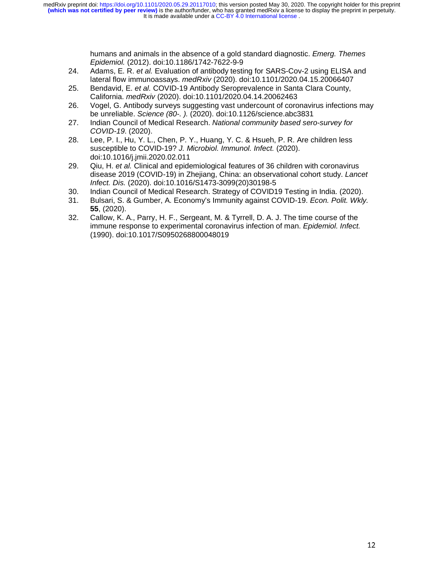humans and animals in the absence of a gold standard diagnostic. *Emerg. Themes Epidemiol.* (2012). doi:10.1186/1742-7622-9-9

- 24. Adams, E. R. *et al.* Evaluation of antibody testing for SARS-Cov-2 using ELISA and lateral flow immunoassays. *medRxiv* (2020). doi:10.1101/2020.04.15.20066407
- 25. Bendavid, E. *et al.* COVID-19 Antibody Seroprevalence in Santa Clara County, California. *medRxiv* (2020). doi:10.1101/2020.04.14.20062463
- 26. Vogel, G. Antibody surveys suggesting vast undercount of coronavirus infections may be unreliable. *Science (80-. ).* (2020). doi:10.1126/science.abc3831
- 27. Indian Council of Medical Research. *National community based sero-survey for COVID-19*. (2020).
- 28. Lee, P. I., Hu, Y. L., Chen, P. Y., Huang, Y. C. & Hsueh, P. R. Are children less susceptible to COVID-19? *J. Microbiol. Immunol. Infect.* (2020). doi:10.1016/j.jmii.2020.02.011
- 29. Qiu, H. *et al.* Clinical and epidemiological features of 36 children with coronavirus disease 2019 (COVID-19) in Zhejiang, China: an observational cohort study. *Lancet Infect. Dis.* (2020). doi:10.1016/S1473-3099(20)30198-5
- 30. Indian Council of Medical Research. Strategy of COVID19 Testing in India. (2020).
- 31. Bulsari, S. & Gumber, A. Economy's Immunity against COVID-19. *Econ. Polit. Wkly.* **55**, (2020).
- 32. Callow, K. A., Parry, H. F., Sergeant, M. & Tyrrell, D. A. J. The time course of the immune response to experimental coronavirus infection of man. *Epidemiol. Infect.* (1990). doi:10.1017/S0950268800048019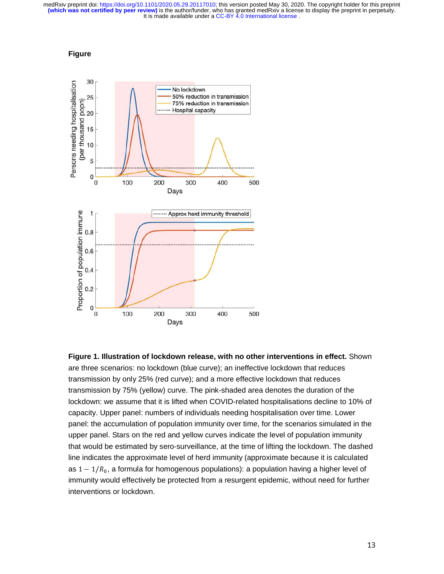



**Figure 1. Illustration of lockdown release, with no other interventions in effect.** Shown are three scenarios: no lockdown (blue curve); an ineffective lockdown that reduces transmission by only 25% (red curve); and a more effective lockdown that reduces transmission by 75% (yellow) curve. The pink-shaded area denotes the duration of the lockdown: we assume that it is lifted when COVID-related hospitalisations decline to 10% of capacity. Upper panel: numbers of individuals needing hospitalisation over time. Lower panel: the accumulation of population immunity over time, for the scenarios simulated in the upper panel. Stars on the red and yellow curves indicate the level of population immunity that would be estimated by sero-surveillance, at the time of lifting the lockdown. The dashed line indicates the approximate level of herd immunity (approximate because it is calculated as  $1 - 1/R_0$ , a formula for homogenous populations): a population having a higher level of immunity would effectively be protected from a resurgent epidemic, without need for further interventions or lockdown.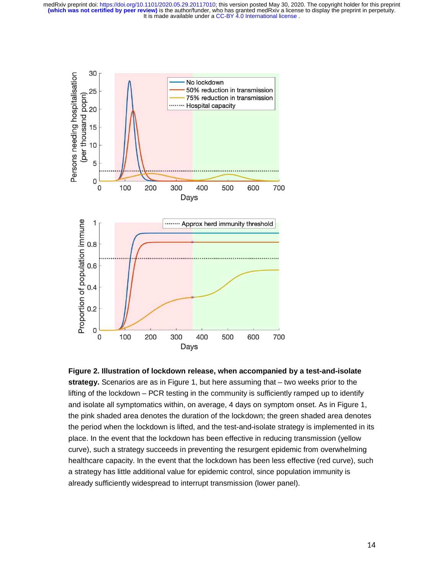



14 - Animal Alexandria de Alexandria de Santo de Alexandria de Santo de Alexandria de Santo de Alexandria de<br>14 - Animal Alexandria de Alexandria de Santo de Alexandria de Santo de Alexandria de Santo de Santo de Santo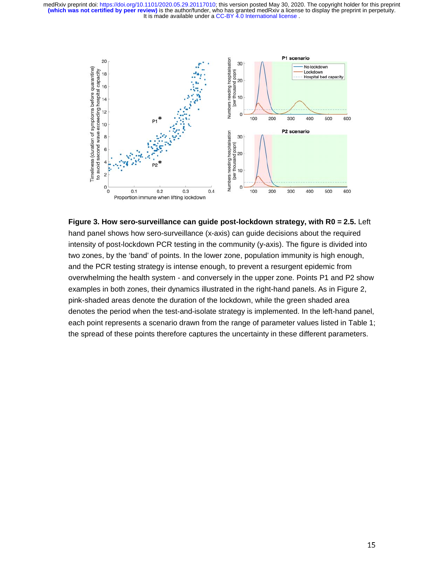

**Figure 3. How sero-surveillance can guide post-lockdown strategy, with R0 = 2.5.** Left hand panel shows how sero-surveillance (x-axis) can guide decisions about the required intensity of post-lockdown PCR testing in the community (y-axis). The figure is divided into two zones, by the 'band' of points. In the lower zone, population immunity is high enough, and the PCR testing strategy is intense enough, to prevent a resurgent epidemic from overwhelming the health system - and conversely in the upper zone. Points P1 and P2 show examples in both zones, their dynamics illustrated in the right-hand panels. As in Figure 2, pink-shaded areas denote the duration of the lockdown, while the green shaded area denotes the period when the test-and-isolate strategy is implemented. In the left-hand panel, each point represents a scenario drawn from the range of parameter values listed in Table 1; the spread of these points therefore captures the uncertainty in these different parameters.